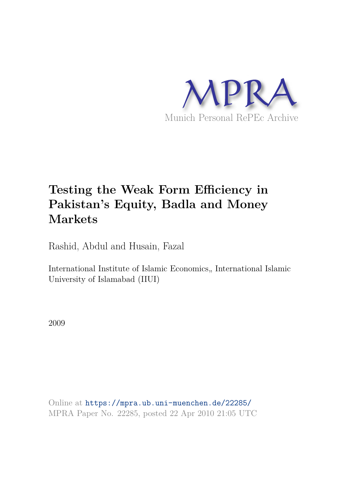

# **Testing the Weak Form Efficiency in Pakistan's Equity, Badla and Money Markets**

Rashid, Abdul and Husain, Fazal

International Institute of Islamic Economics, International Islamic University of Islamabad (IIUI)

2009

Online at https://mpra.ub.uni-muenchen.de/22285/ MPRA Paper No. 22285, posted 22 Apr 2010 21:05 UTC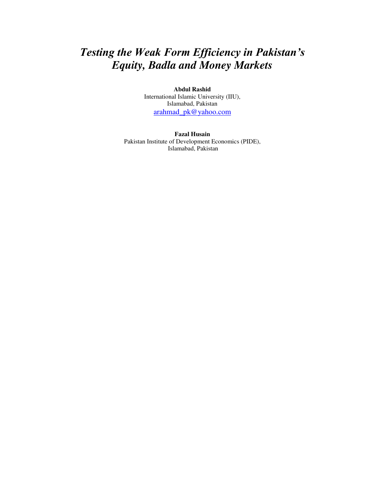## *Testing the Weak Form Efficiency in Pakistan's Equity, Badla and Money Markets*

**Abdul Rashid**  International Islamic University (IIU), Islamabad, Pakistan [arahmad\\_pk@yahoo.com](mailto:arahmad_pk@yahoo.com)

**Fazal Husain**  Pakistan Institute of Development Economics (PIDE), Islamabad, Pakistan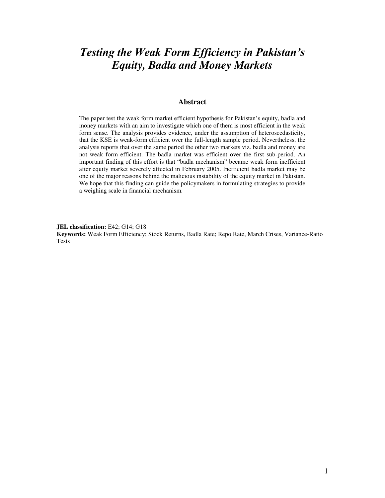## *Testing the Weak Form Efficiency in Pakistan's Equity, Badla and Money Markets*

## **Abstract**

The paper test the weak form market efficient hypothesis for Pakistan"s equity, badla and money markets with an aim to investigate which one of them is most efficient in the weak form sense. The analysis provides evidence, under the assumption of heteroscedasticity, that the KSE is weak-form efficient over the full-length sample period. Nevertheless, the analysis reports that over the same period the other two markets viz. badla and money are not weak form efficient. The badla market was efficient over the first sub-period. An important finding of this effort is that "badla mechanism" became weak form inefficient after equity market severely affected in February 2005. Inefficient badla market may be one of the major reasons behind the malicious instability of the equity market in Pakistan. We hope that this finding can guide the policymakers in formulating strategies to provide a weighing scale in financial mechanism.

**JEL classification:** E42; G14; G18

**Keywords:** Weak Form Efficiency; Stock Returns, Badla Rate; Repo Rate, March Crises, Variance-Ratio Tests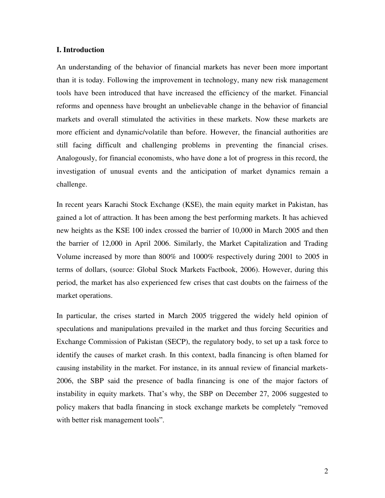## **I. Introduction**

An understanding of the behavior of financial markets has never been more important than it is today. Following the improvement in technology, many new risk management tools have been introduced that have increased the efficiency of the market. Financial reforms and openness have brought an unbelievable change in the behavior of financial markets and overall stimulated the activities in these markets. Now these markets are more efficient and dynamic/volatile than before. However, the financial authorities are still facing difficult and challenging problems in preventing the financial crises. Analogously, for financial economists, who have done a lot of progress in this record, the investigation of unusual events and the anticipation of market dynamics remain a challenge.

In recent years Karachi Stock Exchange (KSE), the main equity market in Pakistan, has gained a lot of attraction. It has been among the best performing markets. It has achieved new heights as the KSE 100 index crossed the barrier of 10,000 in March 2005 and then the barrier of 12,000 in April 2006. Similarly, the Market Capitalization and Trading Volume increased by more than 800% and 1000% respectively during 2001 to 2005 in terms of dollars, (source: Global Stock Markets Factbook, 2006). However, during this period, the market has also experienced few crises that cast doubts on the fairness of the market operations.

In particular, the crises started in March 2005 triggered the widely held opinion of speculations and manipulations prevailed in the market and thus forcing Securities and Exchange Commission of Pakistan (SECP), the regulatory body, to set up a task force to identify the causes of market crash. In this context, badla financing is often blamed for causing instability in the market. For instance, in its annual review of financial markets-2006, the SBP said the presence of badla financing is one of the major factors of instability in equity markets. That's why, the SBP on December 27, 2006 suggested to policy makers that badla financing in stock exchange markets be completely "removed with better risk management tools".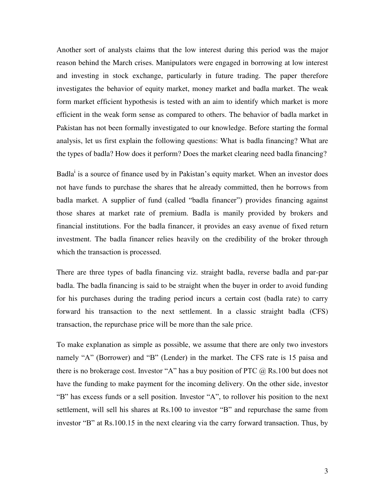Another sort of analysts claims that the low interest during this period was the major reason behind the March crises. Manipulators were engaged in borrowing at low interest and investing in stock exchange, particularly in future trading. The paper therefore investigates the behavior of equity market, money market and badla market. The weak form market efficient hypothesis is tested with an aim to identify which market is more efficient in the weak form sense as compared to others. The behavior of badla market in Pakistan has not been formally investigated to our knowledge. Before starting the formal analysis, let us first explain the following questions: What is badla financing? What are the types of badla? How does it perform? Does the market clearing need badla financing?

Badla<sup>i</sup> is a source of finance used by in Pakistan's equity market. When an investor does not have funds to purchase the shares that he already committed, then he borrows from badla market. A supplier of fund (called "badla financer") provides financing against those shares at market rate of premium. Badla is manily provided by brokers and financial institutions. For the badla financer, it provides an easy avenue of fixed return investment. The badla financer relies heavily on the credibility of the broker through which the transaction is processed.

There are three types of badla financing viz. straight badla, reverse badla and par-par badla. The badla financing is said to be straight when the buyer in order to avoid funding for his purchases during the trading period incurs a certain cost (badla rate) to carry forward his transaction to the next settlement. In a classic straight badla (CFS) transaction, the repurchase price will be more than the sale price.

To make explanation as simple as possible, we assume that there are only two investors namely "A" (Borrower) and "B" (Lender) in the market. The CFS rate is 15 paisa and there is no brokerage cost. Investor "A" has a buy position of PTC  $(a)$  Rs.100 but does not have the funding to make payment for the incoming delivery. On the other side, investor "B" has excess funds or a sell position. Investor "A", to rollover his position to the next settlement, will sell his shares at Rs.100 to investor "B" and repurchase the same from investor "B" at Rs.100.15 in the next clearing via the carry forward transaction. Thus, by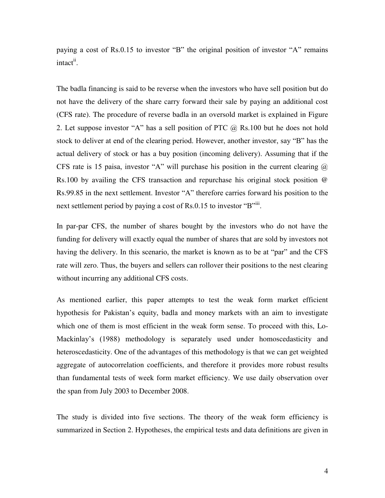paying a cost of Rs.0.15 to investor "B" the original position of investor "A" remains intact<sup>ii</sup>.

The badla financing is said to be reverse when the investors who have sell position but do not have the delivery of the share carry forward their sale by paying an additional cost (CFS rate). The procedure of reverse badla in an oversold market is explained in Figure 2. Let suppose investor "A" has a sell position of PTC  $\omega$  Rs.100 but he does not hold stock to deliver at end of the clearing period. However, another investor, say "B" has the actual delivery of stock or has a buy position (incoming delivery). Assuming that if the CFS rate is 15 paisa, investor "A" will purchase his position in the current clearing  $\omega$ Rs.100 by availing the CFS transaction and repurchase his original stock position @ Rs.99.85 in the next settlement. Investor "A" therefore carries forward his position to the next settlement period by paying a cost of Rs.0.15 to investor "B"<sup>iii</sup>.

In par-par CFS, the number of shares bought by the investors who do not have the funding for delivery will exactly equal the number of shares that are sold by investors not having the delivery. In this scenario, the market is known as to be at "par" and the CFS rate will zero. Thus, the buyers and sellers can rollover their positions to the nest clearing without incurring any additional CFS costs.

As mentioned earlier, this paper attempts to test the weak form market efficient hypothesis for Pakistan's equity, badla and money markets with an aim to investigate which one of them is most efficient in the weak form sense. To proceed with this, Lo-Mackinlay"s (1988) methodology is separately used under homoscedasticity and heteroscedasticity. One of the advantages of this methodology is that we can get weighted aggregate of autocorrelation coefficients, and therefore it provides more robust results than fundamental tests of week form market efficiency. We use daily observation over the span from July 2003 to December 2008.

The study is divided into five sections. The theory of the weak form efficiency is summarized in Section 2. Hypotheses, the empirical tests and data definitions are given in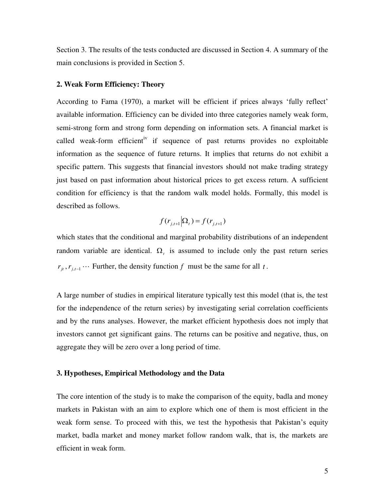Section 3. The results of the tests conducted are discussed in Section 4. A summary of the main conclusions is provided in Section 5.

## **2. Weak Form Efficiency: Theory**

According to Fama (1970), a market will be efficient if prices always "fully reflect" available information. Efficiency can be divided into three categories namely weak form, semi-strong form and strong form depending on information sets. A financial market is called weak-form efficient<sup>iv</sup> if sequence of past returns provides no exploitable information as the sequence of future returns. It implies that returns do not exhibit a specific pattern. This suggests that financial investors should not make trading strategy just based on past information about historical prices to get excess return. A sufficient condition for efficiency is that the random walk model holds. Formally, this model is described as follows.

$$
f(r_{j,t+1}|\Omega_t) = f(r_{j,t+1})
$$

which states that the conditional and marginal probability distributions of an independent random variable are identical.  $\Omega$ , is assumed to include only the past return series  $r_{it}$ ,  $r_{i,t-1}$   $\cdots$  Further, the density function *f* must be the same for all *t*.

A large number of studies in empirical literature typically test this model (that is, the test for the independence of the return series) by investigating serial correlation coefficients and by the runs analyses. However, the market efficient hypothesis does not imply that investors cannot get significant gains. The returns can be positive and negative, thus, on aggregate they will be zero over a long period of time.

### **3. Hypotheses, Empirical Methodology and the Data**

The core intention of the study is to make the comparison of the equity, badla and money markets in Pakistan with an aim to explore which one of them is most efficient in the weak form sense. To proceed with this, we test the hypothesis that Pakistan's equity market, badla market and money market follow random walk, that is, the markets are efficient in weak form.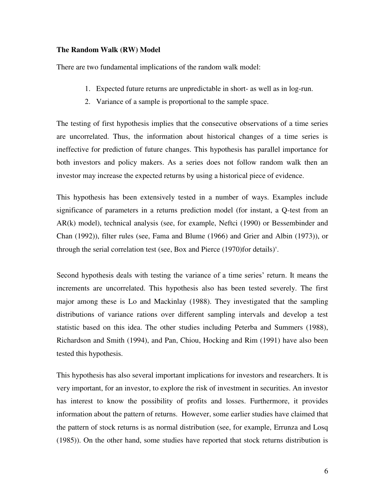## **The Random Walk (RW) Model**

There are two fundamental implications of the random walk model:

- 1. Expected future returns are unpredictable in short- as well as in log-run.
- 2. Variance of a sample is proportional to the sample space.

The testing of first hypothesis implies that the consecutive observations of a time series are uncorrelated. Thus, the information about historical changes of a time series is ineffective for prediction of future changes. This hypothesis has parallel importance for both investors and policy makers. As a series does not follow random walk then an investor may increase the expected returns by using a historical piece of evidence.

This hypothesis has been extensively tested in a number of ways. Examples include significance of parameters in a returns prediction model (for instant, a Q-test from an AR(k) model), technical analysis (see, for example, Neftci (1990) or Bessembinder and Chan (1992)), filter rules (see, Fama and Blume (1966) and Grier and Albin (1973)), or through the serial correlation test (see, Box and Pierce  $(1970)$ for details)<sup>v</sup>.

Second hypothesis deals with testing the variance of a time series' return. It means the increments are uncorrelated. This hypothesis also has been tested severely. The first major among these is Lo and Mackinlay (1988). They investigated that the sampling distributions of variance rations over different sampling intervals and develop a test statistic based on this idea. The other studies including Peterba and Summers (1988), Richardson and Smith (1994), and Pan, Chiou, Hocking and Rim (1991) have also been tested this hypothesis.

This hypothesis has also several important implications for investors and researchers. It is very important, for an investor, to explore the risk of investment in securities. An investor has interest to know the possibility of profits and losses. Furthermore, it provides information about the pattern of returns. However, some earlier studies have claimed that the pattern of stock returns is as normal distribution (see, for example, Errunza and Losq (1985)). On the other hand, some studies have reported that stock returns distribution is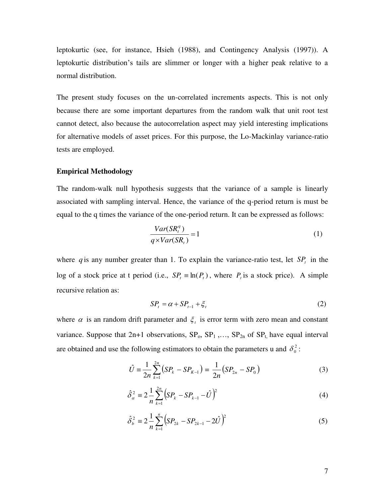leptokurtic (see, for instance, Hsieh (1988), and Contingency Analysis (1997)). A leptokurtic distribution"s tails are slimmer or longer with a higher peak relative to a normal distribution.

The present study focuses on the un-correlated increments aspects. This is not only because there are some important departures from the random walk that unit root test cannot detect, also because the autocorrelation aspect may yield interesting implications for alternative models of asset prices. For this purpose, the Lo-Mackinlay variance-ratio tests are employed.

## **Empirical Methodology**

The random-walk null hypothesis suggests that the variance of a sample is linearly associated with sampling interval. Hence, the variance of the q-period return is must be equal to the q times the variance of the one-period return. It can be expressed as follows:

$$
\frac{Var(SR_t^q)}{q \times Var(SR_t)} = 1\tag{1}
$$

where  $q$  is any number greater than 1. To explain the variance-ratio test, let  $SP<sub>t</sub>$  in the log of a stock price at t period (i.e.,  $SP<sub>t</sub> \equiv \ln(P<sub>t</sub>)$ , where  $P<sub>t</sub>$  is a stock price). A simple recursive relation as:

$$
SPt = \alpha + SPt-1 + \xit
$$
 (2)

where  $\alpha$  is an random drift parameter and  $\xi$  is error term with zero mean and constant variance. Suppose that  $2n+1$  observations,  $SP_0$ ,  $SP_1$ ,...,  $SP_{2n}$  of  $SP_t$ , have equal interval are obtained and use the following estimators to obtain the parameters u and  $\delta_0^2$ :

$$
\hat{U} = \frac{1}{2n} \sum_{k=1}^{2n} (SP_k - SP_{K-1}) = \frac{1}{2n} (SP_{2n} - SP_0)
$$
\n(3)

$$
\hat{\delta}_{\alpha}^{2} \equiv 2 \frac{1}{n} \sum_{k=1}^{2n} \left( SP_{k} - SP_{k-1} - \hat{U} \right)^{2} \tag{4}
$$

$$
\hat{\delta}_b^2 \equiv 2 \frac{1}{n} \sum_{k=1}^n \left( SP_{2k} - SP_{2k-1} - 2\hat{U} \right)^2 \tag{5}
$$

7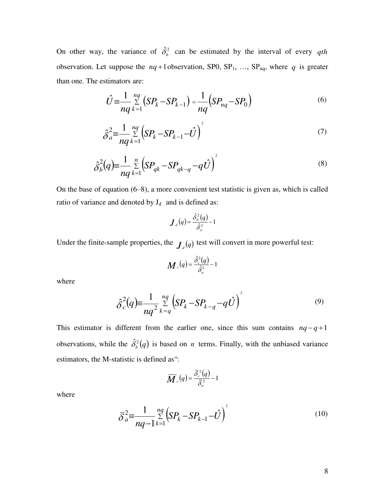On other way, the variance of  $\hat{\delta}_b^2$  can be estimated by the interval of every *qth* observation. Let suppose the  $nq+1$  observation, SP0, SP<sub>1</sub>, ..., SP<sub>nq</sub>, where *q* is greater than one. The estimators are:

$$
\hat{U} = \frac{1}{nq} \sum_{k=1}^{nq} (SP_k - SP_{k-1}) = \frac{1}{nq} (SP_{nq} - SP_0)
$$
\n(6)

$$
\hat{\delta}_a^2 = \frac{1}{nq} \sum_{k=1}^{nq} \left( SP_k - SP_{k-1} - \hat{U} \right)^2 \tag{7}
$$

$$
\hat{\delta}_b^2(q) = \frac{1}{nq} \sum_{k=1}^n \left( SP_{qk} - SP_{qk-q} - q\hat{U} \right)^2
$$
\n(8)

On the base of equation (6–8), a more convenient test statistic is given as, which is called ratio of variance and denoted by  $J_d$  and is defined as:

$$
\boldsymbol{J}_{d}(q) = \frac{\hat{\delta}_{b}^{2}(q)}{\hat{\delta}_{a}^{2}} - 1
$$

Under the finite-sample properties, the  $J_d(q)$  test will convert in more powerful test:

$$
\boldsymbol{M}_{r}(q) = \frac{\hat{\delta}_{c}^{2}(q)}{\hat{\delta}_{a}^{2}} - 1
$$

where

$$
\hat{\delta}_c^2(q) \equiv \frac{1}{nq^2} \sum_{k=q}^{nq} \left( SP_k - SP_{k-q} - q\hat{U} \right)^2 \tag{9}
$$

This estimator is different from the earlier one, since this sum contains  $nq - q + 1$ observations, while the  $\hat{\delta}_b^2(q)$  is based on *n* terms. Finally, with the unbiased variance estimators, the M-statistic is defined as<sup>vi</sup>:

$$
\overline{M}_{r}(q) = \frac{\overline{\delta}_{c}^{2}(q)}{\overline{\delta}_{a}^{2}} - 1
$$

where

$$
\overline{\delta}^2_{a} = \frac{1}{nq-1} \sum_{k=1}^{nq} \left( SP_k - SP_{k-1} - \hat{U} \right)^2 \tag{10}
$$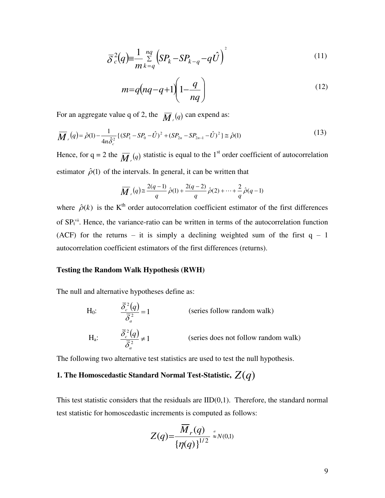$$
\overline{\delta}^2 c(q) = \frac{1}{m} \sum_{k=q}^{nq} \left( SP_k - SP_{k-q} - q\hat{U} \right)^2 \tag{11}
$$

$$
m=q\left(nq-q+1\right)\left(1-\frac{q}{nq}\right) \tag{12}
$$

For an aggregate value q of 2, the  $\overline{M}_r(q)$  can expend as:

$$
\overline{M}_{r}(q) = \hat{\rho}(1) - \frac{1}{4n\hat{\delta}_{c}^{2}} \left\{ (SP_{1} - SP_{0} - \hat{U})^{2} + (SP_{2n} - SP_{2n-1} - \hat{U})^{2} \right\} \cong \hat{\rho}(1)
$$
\n(13)

Hence, for  $q = 2$  the  $\overline{M}_r(q)$  statistic is equal to the 1<sup>st</sup> order coefficient of autocorrelation estimator  $\hat{\rho}(1)$  of the intervals. In general, it can be written that

$$
\overline{M}_{r}(q) \cong \frac{2(q-1)}{q} \hat{\rho}(1) + \frac{2(q-2)}{q} \hat{\rho}(2) + \dots + \frac{2}{q} \hat{\rho}(q-1)
$$

where  $\hat{\rho}(k)$  is the K<sup>th</sup> order autocorrelation coefficient estimator of the first differences of  $SP<sub>t</sub>$ <sup>vii</sup>. Hence, the variance-ratio can be written in terms of the autocorrelation function (ACF) for the returns – it is simply a declining weighted sum of the first  $q - 1$ autocorrelation coefficient estimators of the first differences (returns).

## **Testing the Random Walk Hypothesis (RWH)**

The null and alternative hypotheses define as:

H<sub>0</sub>: 
$$
\frac{\overline{\delta}_c^2(q)}{\overline{\delta}_a^2} = 1
$$
 (series follow random walk)  
\nH<sub>a</sub>:  $\frac{\overline{\delta}_c^2(q)}{\overline{\delta}_a^2} \neq 1$  (series does not follow random walk)

The following two alternative test statistics are used to test the null hypothesis.

## **1. The Homoscedastic Standard Normal Test-Statistic,**  $Z(q)$

This test statistic considers that the residuals are  $IID(0,1)$ . Therefore, the standard normal test statistic for homoscedastic increments is computed as follows:

$$
Z(q) = \frac{\overline{M}_r(q)}{\{\eta(q)\}^{1/2}} \mathop{*}_{\approx N(0,1)}
$$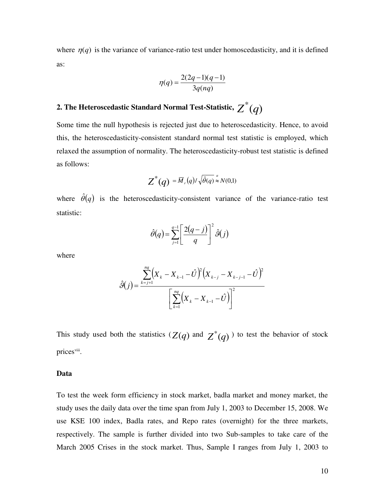where  $\eta(q)$  is the variance of variance-ratio test under homoscedasticity, and it is defined as:

$$
\eta(q) = \frac{2(2q-1)(q-1)}{3q(nq)}
$$

# 2. The Heteroscedastic Standard Normal Test-Statistic,  $\overline{Z}^*(q)$

Some time the null hypothesis is rejected just due to heteroscedasticity. Hence, to avoid this, the heteroscedasticity-consistent standard normal test statistic is employed, which relaxed the assumption of normality. The heteroscedasticity-robust test statistic is defined as follows:

$$
Z^*(q) = \overline{M}_r(q) / \sqrt{\hat{\theta}(q)} \approx N(0,1)
$$

where  $\hat{\theta}(q)$  is the heteroscedasticity-consistent variance of the variance-ratio test statistic:

$$
\hat{\theta}(q) = \sum_{j=1}^{q-1} \left[ \frac{2(q-j)}{q} \right]^2 \hat{\theta}(j)
$$

where

$$
\hat{\vartheta}(j) = \frac{\sum_{k=j+1}^{nq} (X_k - X_{k-1} - \hat{U})^2 (X_{k-j} - X_{k-j-1} - \hat{U})^2}{\left[\sum_{k=1}^{nq} (X_k - X_{k-1} - \hat{U})\right]^2}
$$

This study used both the statistics  $(Z(q)$  and  $Z^*(q)$  to test the behavior of stock prices<sup>viii</sup>.

## **Data**

To test the week form efficiency in stock market, badla market and money market, the study uses the daily data over the time span from July 1, 2003 to December 15, 2008. We use KSE 100 index, Badla rates, and Repo rates (overnight) for the three markets, respectively. The sample is further divided into two Sub-samples to take care of the March 2005 Crises in the stock market. Thus, Sample I ranges from July 1, 2003 to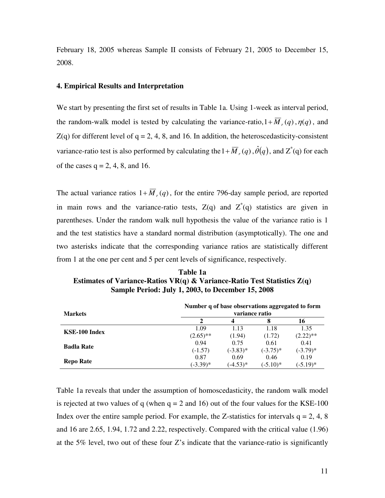February 18, 2005 whereas Sample II consists of February 21, 2005 to December 15, 2008.

## **4. Empirical Results and Interpretation**

We start by presenting the first set of results in Table 1a. Using 1-week as interval period, the random-walk model is tested by calculating the variance-ratio,  $1 + \overline{M}_r(q)$ ,  $\eta(q)$ , and  $Z(q)$  for different level of  $q = 2, 4, 8,$  and 16. In addition, the heteroscedasticity-consistent variance-ratio test is also performed by calculating the  $1 + \overline{M}_r(q)$ ,  $\hat{\theta}(q)$ , and  $Z^*(q)$  for each of the cases  $q = 2, 4, 8,$  and 16.

The actual variance ratios  $1 + \overline{M}_r(q)$ , for the entire 796-day sample period, are reported in main rows and the variance-ratio tests,  $Z(q)$  and  $Z^*(q)$  statistics are given in parentheses. Under the random walk null hypothesis the value of the variance ratio is 1 and the test statistics have a standard normal distribution (asymptotically). The one and two asterisks indicate that the corresponding variance ratios are statistically different from 1 at the one per cent and 5 per cent levels of significance, respectively.

**Table 1a Estimates of Variance-Ratios VR(q) & Variance-Ratio Test Statistics Z(q) Sample Period: July 1, 2003, to December 15, 2008** 

| <b>Markets</b>    | Number q of base observations aggregated to form<br>variance ratio |             |            |             |
|-------------------|--------------------------------------------------------------------|-------------|------------|-------------|
|                   |                                                                    | 4           |            | 16          |
| KSE-100 Index     | 1.09                                                               | 1.13        | 1.18       | 1.35        |
|                   | $(2.65)$ **                                                        | (1.94)      | (1.72)     | $(2.22)$ ** |
| <b>Badla Rate</b> | 0.94                                                               | 0.75        | 0.61       | 0.41        |
|                   | $(-1.57)$                                                          | $(-3.83)$ * | $(-3.75)*$ | $(-3.79)$ * |
| <b>Repo Rate</b>  | 0.87                                                               | 0.69        | 0.46       | 0.19        |
|                   | $(-3.39)*$                                                         | $(-4.53)*$  | $(-5.10)*$ | $(-5.19)*$  |

Table 1a reveals that under the assumption of homoscedasticity, the random walk model is rejected at two values of q (when  $q = 2$  and 16) out of the four values for the KSE-100 Index over the entire sample period. For example, the Z-statistics for intervals  $q = 2, 4, 8$ and 16 are 2.65, 1.94, 1.72 and 2.22, respectively. Compared with the critical value (1.96) at the 5% level, two out of these four  $Z$ 's indicate that the variance-ratio is significantly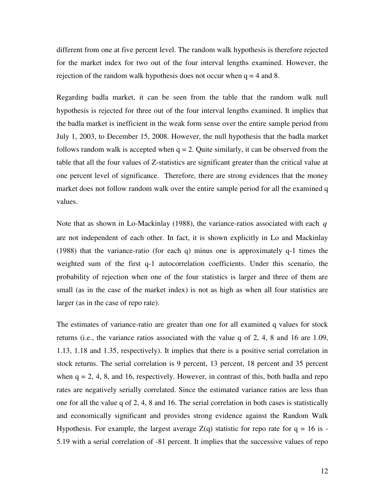different from one at five percent level. The random walk hypothesis is therefore rejected for the market index for two out of the four interval lengths examined. However, the rejection of the random walk hypothesis does not occur when  $q = 4$  and 8.

Regarding badla market, it can be seen from the table that the random walk null hypothesis is rejected for three out of the four interval lengths examined. It implies that the badla market is inefficient in the weak form sense over the entire sample period from July 1, 2003, to December 15, 2008. However, the null hypothesis that the badla market follows random walk is accepted when  $q = 2$ . Quite similarly, it can be observed from the table that all the four values of Z-statistics are significant greater than the critical value at one percent level of significance. Therefore, there are strong evidences that the money market does not follow random walk over the entire sample period for all the examined q values.

Note that as shown in Lo-Mackinlay (1988), the variance-ratios associated with each *q* are not independent of each other. In fact, it is shown explicitly in Lo and Mackinlay (1988) that the variance-ratio (for each q) minus one is approximately q-1 times the weighted sum of the first q-1 autocorrelation coefficients. Under this scenario, the probability of rejection when one of the four statistics is larger and three of them are small (as in the case of the market index) is not as high as when all four statistics are larger (as in the case of repo rate).

The estimates of variance-ratio are greater than one for all examined q values for stock returns (i.e., the variance ratios associated with the value q of 2, 4, 8 and 16 are 1.09, 1.13, 1.18 and 1.35, respectively). It implies that there is a positive serial correlation in stock returns. The serial correlation is 9 percent, 13 percent, 18 percent and 35 percent when  $q = 2, 4, 8$ , and 16, respectively. However, in contrast of this, both badla and repo rates are negatively serially correlated. Since the estimated variance ratios are less than one for all the value q of 2, 4, 8 and 16. The serial correlation in both cases is statistically and economically significant and provides strong evidence against the Random Walk Hypothesis. For example, the largest average  $Z(q)$  statistic for repo rate for  $q = 16$  is -5.19 with a serial correlation of -81 percent. It implies that the successive values of repo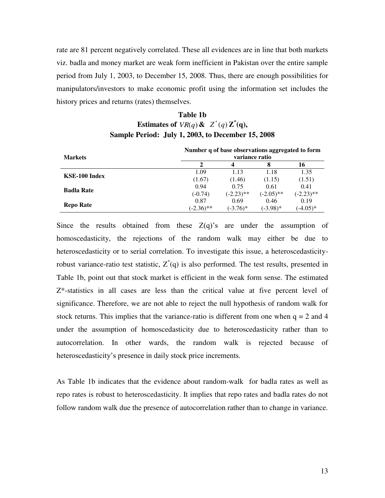rate are 81 percent negatively correlated. These all evidences are in line that both markets viz. badla and money market are weak form inefficient in Pakistan over the entire sample period from July 1, 2003, to December 15, 2008. Thus, there are enough possibilities for manipulators/investors to make economic profit using the information set includes the history prices and returns (rates) themselves.

## **Table 1b Estimates of**  $VR(q)$  &  $Z^*(q)Z^*(q)$ , **Sample Period: July 1, 2003, to December 15, 2008**

| <b>Markets</b>    | Number q of base observations aggregated to form<br>variance ratio |              |              |              |
|-------------------|--------------------------------------------------------------------|--------------|--------------|--------------|
|                   | 2                                                                  | 4            | 8            | 16           |
| KSE-100 Index     | 1.09                                                               | 1.13         | 1.18         | 1.35         |
|                   | (1.67)                                                             | (1.46)       | (1.15)       | (1.51)       |
| <b>Badla Rate</b> | 0.94                                                               | 0.75         | 0.61         | 0.41         |
|                   | $(-0.74)$                                                          | $(-2.23)$ ** | $(-2.05)$ ** | $(-2.23)$ ** |
|                   | 0.87                                                               | 0.69         | 0.46         | 0.19         |
| <b>Repo Rate</b>  | $(-2.36)$ **                                                       | $(-3.76)^*$  | $(-3.98)*$   | $(-4.05)*$   |

Since the results obtained from these  $Z(q)$ 's are under the assumption of homoscedasticity, the rejections of the random walk may either be due to heteroscedasticity or to serial correlation. To investigate this issue, a heteroscedasticityrobust variance-ratio test statistic,  $Z^*(q)$  is also performed. The test results, presented in Table 1b, point out that stock market is efficient in the weak form sense. The estimated  $Z^*$ -statistics in all cases are less than the critical value at five percent level of significance. Therefore, we are not able to reject the null hypothesis of random walk for stock returns. This implies that the variance-ratio is different from one when  $q = 2$  and 4 under the assumption of homoscedasticity due to heteroscedasticity rather than to autocorrelation. In other wards, the random walk is rejected because of heteroscedasticity's presence in daily stock price increments.

As Table 1b indicates that the evidence about random-walk for badla rates as well as repo rates is robust to heteroscedasticity. It implies that repo rates and badla rates do not follow random walk due the presence of autocorrelation rather than to change in variance.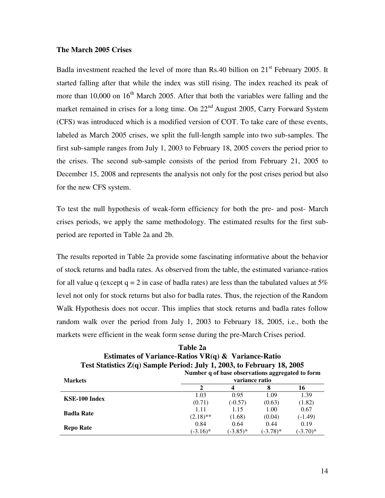## **The March 2005 Crises**

Badla investment reached the level of more than Rs.40 billion on  $21<sup>st</sup>$  February 2005. It started falling after that while the index was still rising. The index reached its peak of more than 10,000 on  $16<sup>th</sup>$  March 2005. After that both the variables were falling and the market remained in crises for a long time. On  $22<sup>nd</sup>$  August 2005, Carry Forward System (CFS) was introduced which is a modified version of COT. To take care of these events, labeled as March 2005 crises, we split the full-length sample into two sub-samples. The first sub-sample ranges from July 1, 2003 to February 18, 2005 covers the period prior to the crises. The second sub-sample consists of the period from February 21, 2005 to December 15, 2008 and represents the analysis not only for the post crises period but also for the new CFS system.

To test the null hypothesis of weak-form efficiency for both the pre- and post- March crises periods, we apply the same methodology. The estimated results for the first subperiod are reported in Table 2a and 2b.

The results reported in Table 2a provide some fascinating informative about the behavior of stock returns and badla rates. As observed from the table, the estimated variance-ratios for all value q (except  $q = 2$  in case of badla rates) are less than the tabulated values at  $5\%$ level not only for stock returns but also for badla rates. Thus, the rejection of the Random Walk Hypothesis does not occur. This implies that stock returns and badla rates follow random walk over the period from July 1, 2003 to February 18, 2005, i.e., both the markets were efficient in the weak form sense during the pre-March Crises period.

| Estimates of Variance-Ratios VR $(q)$ & Variance-Ratio<br>Test Statistics Z(q) Sample Period: July 1, 2003, to February 18, 2005 |                                                                    |            |            |            |  |
|----------------------------------------------------------------------------------------------------------------------------------|--------------------------------------------------------------------|------------|------------|------------|--|
| <b>Markets</b>                                                                                                                   | Number q of base observations aggregated to form<br>variance ratio |            |            |            |  |
|                                                                                                                                  | 2                                                                  | 4          | 8          | 16         |  |
| KSE-100 Index                                                                                                                    | 1.03                                                               | 0.95       | 1.09       | 1.39       |  |
|                                                                                                                                  | (0.71)                                                             | $(-0.57)$  | (0.63)     | (1.82)     |  |
| <b>Badla Rate</b>                                                                                                                | 1.11                                                               | 1.15       | 1.00       | 0.67       |  |
|                                                                                                                                  | $(2.18)$ **                                                        | (1.68)     | (0.04)     | $(-1.49)$  |  |
|                                                                                                                                  | 0.84                                                               | 0.64       | 0.44       | 0.19       |  |
| <b>Repo Rate</b>                                                                                                                 | $(-3.16)^*$                                                        | $(-3.85)*$ | $(-3.78)*$ | $(-3.70)*$ |  |

 $T_1$   $T_2$   $T_3$ 

| Table <i>2</i> a                                                         |
|--------------------------------------------------------------------------|
| Estimates of Variance-Ratios $VR(q)$ & Variance-Ratio                    |
| 'est Statistics $Z(q)$ Sample Period: July 1, 2003, to February 18, 2005 |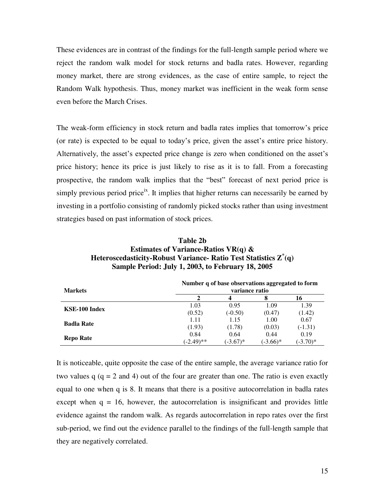These evidences are in contrast of the findings for the full-length sample period where we reject the random walk model for stock returns and badla rates. However, regarding money market, there are strong evidences, as the case of entire sample, to reject the Random Walk hypothesis. Thus, money market was inefficient in the weak form sense even before the March Crises.

The weak-form efficiency in stock return and badla rates implies that tomorrow"s price (or rate) is expected to be equal to today's price, given the asset's entire price history. Alternatively, the asset's expected price change is zero when conditioned on the asset's price history; hence its price is just likely to rise as it is to fall. From a forecasting prospective, the random walk implies that the "best" forecast of next period price is simply previous period price<sup>ix</sup>. It implies that higher returns can necessarily be earned by investing in a portfolio consisting of randomly picked stocks rather than using investment strategies based on past information of stock prices.

| Table 2b                                                                             |
|--------------------------------------------------------------------------------------|
| Estimates of Variance-Ratios VR(q) $\&$                                              |
| Heteroscedasticity-Robust Variance- Ratio Test Statistics $\mathbf{Z}^*(\mathbf{q})$ |
| Sample Period: July 1, 2003, to February 18, 2005                                    |

| <b>Markets</b>    | Number q of base observations aggregated to form<br>variance ratio |            |            |            |
|-------------------|--------------------------------------------------------------------|------------|------------|------------|
|                   |                                                                    |            | 8          | 16         |
| KSE-100 Index     | 1.03                                                               | 0.95       | 1.09       | 1.39       |
|                   | (0.52)                                                             | $(-0.50)$  | (0.47)     | (1.42)     |
| <b>Badla Rate</b> | 1.11                                                               | 1.15       | 1.00       | 0.67       |
|                   | (1.93)                                                             | (1.78)     | (0.03)     | $(-1.31)$  |
| <b>Repo Rate</b>  | 0.84                                                               | 0.64       | 0.44       | 0.19       |
|                   | $(-2.49)$ **                                                       | $(-3.67)*$ | $(-3.66)*$ | $(-3.70)*$ |

It is noticeable, quite opposite the case of the entire sample, the average variance ratio for two values  $q$  ( $q = 2$  and 4) out of the four are greater than one. The ratio is even exactly equal to one when q is 8. It means that there is a positive autocorrelation in badla rates except when  $q = 16$ , however, the autocorrelation is insignificant and provides little evidence against the random walk. As regards autocorrelation in repo rates over the first sub-period, we find out the evidence parallel to the findings of the full-length sample that they are negatively correlated.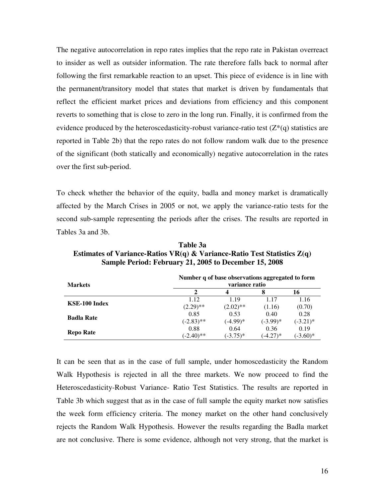The negative autocorrelation in repo rates implies that the repo rate in Pakistan overreact to insider as well as outsider information. The rate therefore falls back to normal after following the first remarkable reaction to an upset. This piece of evidence is in line with the permanent/transitory model that states that market is driven by fundamentals that reflect the efficient market prices and deviations from efficiency and this component reverts to something that is close to zero in the long run. Finally, it is confirmed from the evidence produced by the heteroscedasticity-robust variance-ratio test  $(Z^*(q))$  statistics are reported in Table 2b) that the repo rates do not follow random walk due to the presence of the significant (both statically and economically) negative autocorrelation in the rates over the first sub-period.

To check whether the behavior of the equity, badla and money market is dramatically affected by the March Crises in 2005 or not, we apply the variance-ratio tests for the second sub-sample representing the periods after the crises. The results are reported in Tables 3a and 3b.

| <b>Markets</b>    | Number q of base observations aggregated to form<br>variance ratio |             |             |             |
|-------------------|--------------------------------------------------------------------|-------------|-------------|-------------|
|                   | 2                                                                  | 4           | 8           | 16          |
| KSE-100 Index     | 1.12                                                               | 1.19        | 1.17        | 1.16        |
|                   | $(2.29)$ **                                                        | $(2.02)$ ** | (1.16)      | (0.70)      |
| <b>Badla Rate</b> | 0.85                                                               | 0.53        | 0.40        | 0.28        |
|                   | $(-2.83)$ **                                                       | $(-4.99)*$  | $(-3.99)$ * | $(-3.21)^*$ |
| <b>Repo Rate</b>  | 0.88                                                               | 0.64        | 0.36        | 0.19        |
|                   | $(-2.40)$ **                                                       | $(-3.75)*$  | $(-4.27)*$  | $(-3.60)*$  |

**Table 3a Estimates of Variance-Ratios VR(q) & Variance-Ratio Test Statistics Z(q) Sample Period: February 21, 2005 to December 15, 2008**

It can be seen that as in the case of full sample, under homoscedasticity the Random Walk Hypothesis is rejected in all the three markets. We now proceed to find the Heteroscedasticity-Robust Variance- Ratio Test Statistics. The results are reported in Table 3b which suggest that as in the case of full sample the equity market now satisfies the week form efficiency criteria. The money market on the other hand conclusively rejects the Random Walk Hypothesis. However the results regarding the Badla market are not conclusive. There is some evidence, although not very strong, that the market is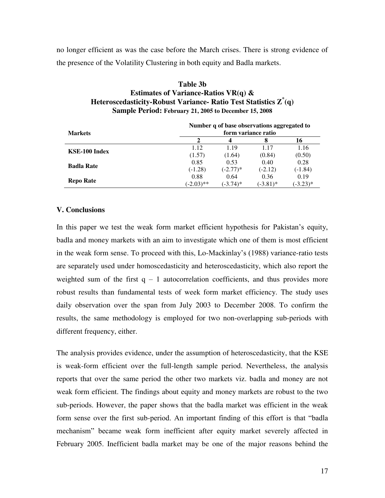no longer efficient as was the case before the March crises. There is strong evidence of the presence of the Volatility Clustering in both equity and Badla markets.

| Table 3b                                                                    |
|-----------------------------------------------------------------------------|
| Estimates of Variance-Ratios VR(q) $\&$                                     |
| Heteroscedasticity-Robust Variance- Ratio Test Statistics $\mathbf{Z}^*(q)$ |
| Sample Period: February 21, 2005 to December 15, 2008                       |

|                   | Number q of base observations aggregated to |            |             |            |  |
|-------------------|---------------------------------------------|------------|-------------|------------|--|
| <b>Markets</b>    | form variance ratio                         |            |             |            |  |
|                   |                                             | 4          |             | 16         |  |
|                   | 1.12                                        | 1.19       | 1.17        | 1.16       |  |
| KSE-100 Index     | (1.57)                                      | (1.64)     | (0.84)      | (0.50)     |  |
|                   | 0.85                                        | 0.53       | 0.40        | 0.28       |  |
| <b>Badla Rate</b> | $(-1.28)$                                   | $(-2.77)*$ | $(-2.12)$   | $(-1.84)$  |  |
|                   | 0.88                                        | 0.64       | 0.36        | 0.19       |  |
| <b>Repo Rate</b>  | $(-2.03)$ **                                | $(-3.74)*$ | $(-3.81)^*$ | $(-3.23)*$ |  |

#### **V. Conclusions**

In this paper we test the weak form market efficient hypothesis for Pakistan"s equity, badla and money markets with an aim to investigate which one of them is most efficient in the weak form sense. To proceed with this, Lo-Mackinlay"s (1988) variance-ratio tests are separately used under homoscedasticity and heteroscedasticity, which also report the weighted sum of the first  $q - 1$  autocorrelation coefficients, and thus provides more robust results than fundamental tests of week form market efficiency. The study uses daily observation over the span from July 2003 to December 2008. To confirm the results, the same methodology is employed for two non-overlapping sub-periods with different frequency, either.

The analysis provides evidence, under the assumption of heteroscedasticity, that the KSE is weak-form efficient over the full-length sample period. Nevertheless, the analysis reports that over the same period the other two markets viz. badla and money are not weak form efficient. The findings about equity and money markets are robust to the two sub-periods. However, the paper shows that the badla market was efficient in the weak form sense over the first sub-period. An important finding of this effort is that "badla mechanism" became weak form inefficient after equity market severely affected in February 2005. Inefficient badla market may be one of the major reasons behind the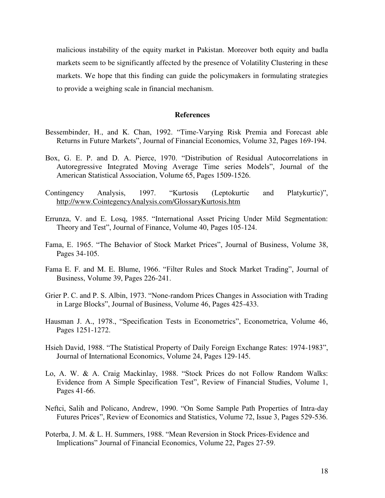malicious instability of the equity market in Pakistan. Moreover both equity and badla markets seem to be significantly affected by the presence of Volatility Clustering in these markets. We hope that this finding can guide the policymakers in formulating strategies to provide a weighing scale in financial mechanism.

#### **References**

- Bessembinder, H., and K. Chan, 1992. "Time-Varying Risk Premia and Forecast able Returns in Future Markets", Journal of Financial Economics, Volume 32, Pages 169-194.
- Box, G. E. P. and D. A. Pierce, 1970. "Distribution of Residual Autocorrelations in Autoregressive Integrated Moving Average Time series Models", Journal of the American Statistical Association, Volume 65, Pages 1509-1526.
- Contingency Analysis, 1997. "Kurtosis (Leptokurtic and Platykurtic)", http://www.CointegencyAnalysis.com/GlossaryKurtosis.htm
- Errunza, V. and E. Losq, 1985. "International Asset Pricing Under Mild Segmentation: Theory and Test", Journal of Finance, Volume 40, Pages 105-124.
- Fama, E. 1965. "The Behavior of Stock Market Prices", Journal of Business, Volume 38, Pages 34-105.
- Fama E. F. and M. E. Blume, 1966. "Filter Rules and Stock Market Trading", Journal of Business, Volume 39, Pages 226-241.
- Grier P. C. and P. S. Albin, 1973. "None-random Prices Changes in Association with Trading in Large Blocks", Journal of Business, Volume 46, Pages 425-433.
- Hausman J. A., 1978., "Specification Tests in Econometrics", Econometrica, Volume 46, Pages 1251-1272.
- Hsieh David, 1988. "The Statistical Property of Daily Foreign Exchange Rates: 1974-1983", Journal of International Economics, Volume 24, Pages 129-145.
- Lo, A. W. & A. Craig Mackinlay, 1988. "Stock Prices do not Follow Random Walks: Evidence from A Simple Specification Test", Review of Financial Studies, Volume 1, Pages 41-66.
- Neftci, Salih and Policano, Andrew, 1990. "On Some Sample Path Properties of Intra-day Futures Prices", Review of Economics and Statistics, Volume 72, Issue 3, Pages 529-536.
- Poterba, J. M. & L. H. Summers, 1988. "Mean Reversion in Stock Prices-Evidence and Implications" Journal of Financial Economics, Volume 22, Pages 27-59.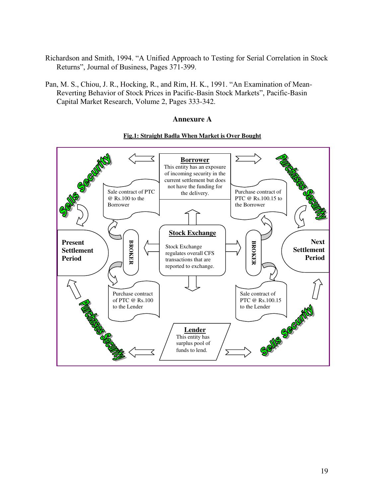- Richardson and Smith, 1994. "A Unified Approach to Testing for Serial Correlation in Stock Returns", Journal of Business, Pages 371-399.
- Pan, M. S., Chiou, J. R., Hocking, R., and Rim, H. K., 1991. "An Examination of Mean-Reverting Behavior of Stock Prices in Pacific-Basin Stock Markets", Pacific-Basin Capital Market Research, Volume 2, Pages 333-342.

## **Annexure A**



## **Fig.1: Straight Badla When Market is Over Bought**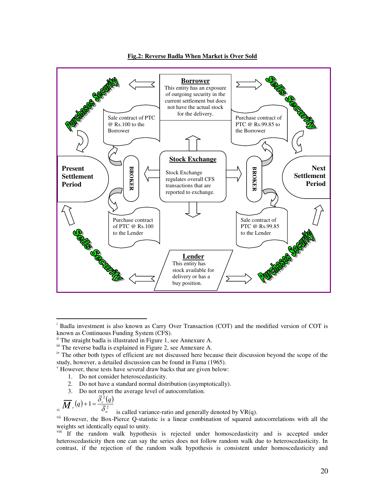

**Fig.2: Reverse Badla When Market is Over Sold**

- 1. Do not consider heteroscedasticity.
- 2. Do not have a standard normal distribution (asymptotically).
- 3. Do not report the average level of autocorrelation.

$$
\overline{M}_{r}(q)+1=\frac{\overline{\delta}_{c}^{\frac{2}{2}}(q)}{\overline{\delta}_{a}^{\frac{2}{2}}}
$$

 $\overline{a}$ 

is called variance-ratio and generally denoted by VR(q).

vii However, the Box-Pierce Q-statistic is a linear combination of squared autocorrelations with all the weights set identically equal to unity.

<sup>viii</sup> If the random walk hypothesis is rejected under homoscedasticity and is accepted under heteroscedasticity then one can say the series does not follow random walk due to heteroscedasticity. In contrast, if the rejection of the random walk hypothesis is consistent under homoscedasticity and

<sup>&</sup>lt;sup>i</sup> Badla investment is also known as Carry Over Transaction (COT) and the modified version of COT is known as Continuous Funding System (CFS).

ii The straight badla is illustrated in Figure 1, see Annexure A.

iii The reverse badla is explained in Figure 2, see Annexure A.

iv The other both types of efficient are not discussed here because their discussion beyond the scope of the study, however, a detailed discussion can be found in Fama (1965).

v However, these tests have several draw backs that are given below: